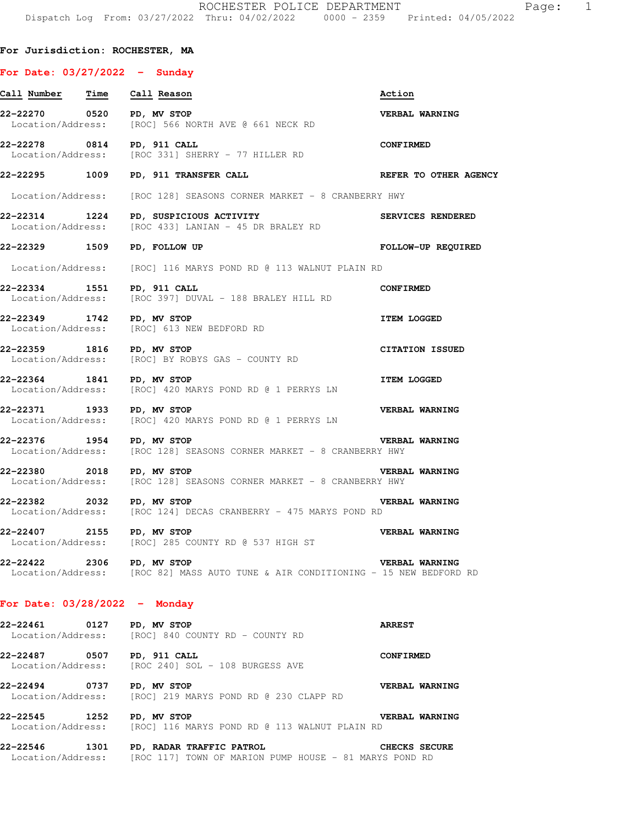### **For Jurisdiction: ROCHESTER, MA**

#### **For Date: 03/27/2022 - Sunday**

| <u>Call Number Time Call Reason</u> |      |                                                                                                      | Action                    |
|-------------------------------------|------|------------------------------------------------------------------------------------------------------|---------------------------|
| 22-22270 0520 PD, MV STOP           |      | Location/Address: [ROC] 566 NORTH AVE @ 661 NECK RD                                                  | <b>VERBAL WARNING</b>     |
|                                     |      | 22-22278 0814 PD, 911 CALL<br>Location/Address: [ROC 331] SHERRY - 77 HILLER RD                      | <b>CONFIRMED</b>          |
|                                     |      | 22-22295 1009 PD, 911 TRANSFER CALL                                                                  | REFER TO OTHER AGENCY     |
|                                     |      | Location/Address: [ROC 128] SEASONS CORNER MARKET - 8 CRANBERRY HWY                                  |                           |
|                                     |      | 22-22314 1224 PD, SUSPICIOUS ACTIVITY<br>Location/Address: [ROC 433] LANIAN - 45 DR BRALEY RD        | SERVICES RENDERED         |
|                                     |      | 22-22329 1509 PD, FOLLOW UP                                                                          | <b>FOLLOW-UP REQUIRED</b> |
|                                     |      | Location/Address: [ROC] 116 MARYS POND RD @ 113 WALNUT PLAIN RD                                      |                           |
|                                     |      | 22-22334 1551 PD, 911 CALL<br>Location/Address: [ROC 397] DUVAL - 188 BRALEY HILL RD                 | <b>CONFIRMED</b>          |
| 22-22349 1742 PD, MV STOP           |      | Location/Address: [ROC] 613 NEW BEDFORD RD                                                           | <b>ITEM LOGGED</b>        |
| 22-22359 1816 PD, MV STOP           |      | Location/Address: [ROC] BY ROBYS GAS - COUNTY RD                                                     | <b>CITATION ISSUED</b>    |
|                                     |      | 22-22364 1841 PD, MV STOP<br>Location/Address: [ROC] 420 MARYS POND RD @ 1 PERRYS LN                 | <b>ITEM LOGGED</b>        |
|                                     |      | 22-22371 1933 PD, MV STOP<br>Location/Address: [ROC] 420 MARYS POND RD @ 1 PERRYS LN                 | <b>VERBAL WARNING</b>     |
| 22-22376 1954 PD, MV STOP           |      | Location/Address: [ROC 128] SEASONS CORNER MARKET - 8 CRANBERRY HWY                                  | VERBAL WARNING            |
|                                     |      | 22-22380 2018 PD, MV STOP<br>Location/Address: [ROC 128] SEASONS CORNER MARKET - 8 CRANBERRY HWY     | <b>VERBAL WARNING</b>     |
| 22-22382 2032 PD, MV STOP           |      | Location/Address: [ROC 124] DECAS CRANBERRY - 475 MARYS POND RD                                      | <b>VERBAL WARNING</b>     |
| 22-22407 2155 PD, MV STOP           |      | Location/Address: [ROC] 285 COUNTY RD @ 537 HIGH ST                                                  | <b>VERBAL WARNING</b>     |
| 22-22422                            |      | 2306 PD, MV STOP<br>Location/Address: [ROC 82] MASS AUTO TUNE & AIR CONDITIONING - 15 NEW BEDFORD RD | VERBAL WARNING            |
| For Date: $03/28/2022 -$ Monday     |      |                                                                                                      |                           |
| 22-22461                            | 0127 | PD, MV STOP<br>Location/Address: [ROC] 840 COUNTY RD - COUNTY RD                                     | <b>ARREST</b>             |
| 22-22487 0507 PD, 911 CALL          |      | Location/Address: [ROC 240] SOL - 108 BURGESS AVE                                                    | <b>CONFIRMED</b>          |

**22-22494 0737 PD, MV STOP VERBAL WARNING**  Location/Address: [ROC] 219 MARYS POND RD @ 230 CLAPP RD

**22-22545 1252 PD, MV STOP VERBAL WARNING**  Location/Address: [ROC] 116 MARYS POND RD @ 113 WALNUT PLAIN RD

**22-22546 1301 PD, RADAR TRAFFIC PATROL CHECKS SECURE**  Location/Address: [ROC 117] TOWN OF MARION PUMP HOUSE - 81 MARYS POND RD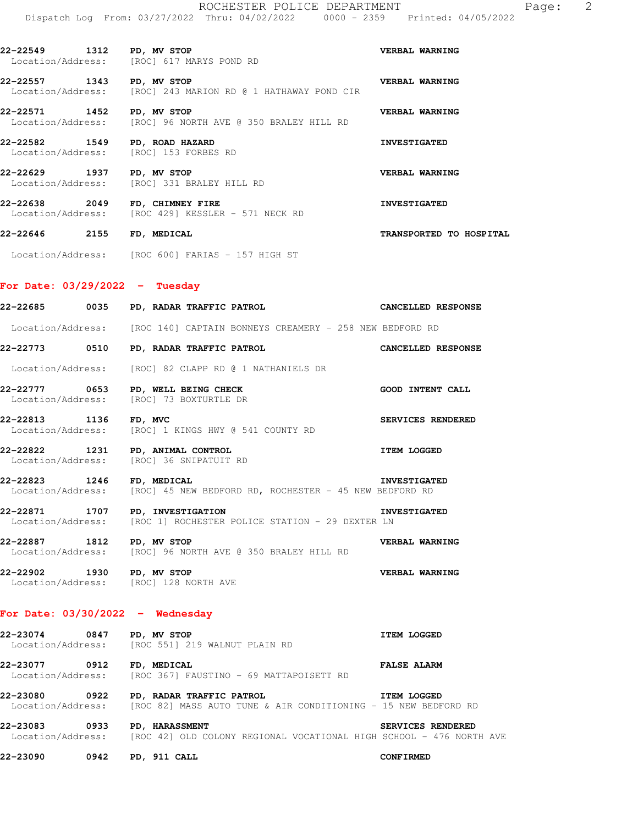| $0000 - 2359$ |  | Printed: 04/05/2022 |
|---------------|--|---------------------|
|               |  |                     |
|               |  |                     |

| 22-22549<br>1312<br>Location/Address: | PD, MV STOP<br>[ROC] 617 MARYS POND RD                                   | VERBAL WARNING        |
|---------------------------------------|--------------------------------------------------------------------------|-----------------------|
| 22–22557<br>1343<br>Location/Address: | PD, MV STOP<br>[ROC] 243 MARION RD @ 1 HATHAWAY POND CIR                 | <b>VERBAL WARNING</b> |
| 22-22571<br>1452                      | PD, MV STOP<br>Location/Address: [ROC] 96 NORTH AVE @ 350 BRALEY HILL RD | <b>VERBAL WARNING</b> |
| 22-22582<br>1549<br>Location/Address: | PD, ROAD HAZARD<br>[ROC] 153 FORBES RD                                   | <b>INVESTIGATED</b>   |
| 22-22629<br>1937<br>Location/Address: | PD, MV STOP<br>[ROC] 331 BRALEY HILL RD                                  | <b>VERBAL WARNING</b> |

**22-22638 2049 FD, CHIMNEY FIRE INVESTIGATED**  Location/Address: [ROC 429] KESSLER - 571 NECK RD

**22-22646 2155 FD, MEDICAL TRANSPORTED TO HOSPITAL**  Location/Address: [ROC 600] FARIAS - 157 HIGH ST

# **For Date: 03/29/2022 - Tuesday**

|                            | 22-22685 0035 PD, RADAR TRAFFIC PATROL CANCELLED RESPONSE                                                                  |                          |
|----------------------------|----------------------------------------------------------------------------------------------------------------------------|--------------------------|
|                            | Location/Address: [ROC 140] CAPTAIN BONNEYS CREAMERY - 258 NEW BEDFORD RD                                                  |                          |
|                            | 22-22773 0510 PD, RADAR TRAFFIC PATROL CANCELLED RESPONSE                                                                  |                          |
|                            | Location/Address: [ROC] 82 CLAPP RD @ 1 NATHANIELS DR                                                                      |                          |
|                            | 22-22777 0653 PD, WELL BEING CHECK<br>Location/Address: [ROC] 73 BOXTURTLE DR                                              | <b>GOOD INTENT CALL</b>  |
| 22-22813 1136 FD, MVC      | Location/Address: [ROC] 1 KINGS HWY @ 541 COUNTY RD                                                                        | SERVICES RENDERED        |
|                            |                                                                                                                            | <b>ITEM LOGGED</b>       |
| 22-22823 1246 FD, MEDICAL  | Location/Address: [ROC] 45 NEW BEDFORD RD, ROCHESTER - 45 NEW BEDFORD RD                                                   | <b>INVESTIGATED</b>      |
|                            | 22-22871 1707 PD, INVESTIGATION<br>Location/Address: [ROC 1] ROCHESTER POLICE STATION - 29 DEXTER LN                       | <b>INVESTIGATED</b>      |
| 22-22887 1812 PD, MV STOP  | Location/Address: [ROC] 96 NORTH AVE @ 350 BRALEY HILL RD                                                                  | <b>VERBAL WARNING</b>    |
| 22-22902 1930 PD, MV STOP  | Location/Address: [ROC] 128 NORTH AVE                                                                                      | <b>VERBAL WARNING</b>    |
|                            | For Date: $03/30/2022 -$ Wednesday                                                                                         |                          |
|                            | 22-23074 0847 PD, MV STOP<br>Location/Address: [ROC 551] 219 WALNUT PLAIN RD                                               | <b>ITEM LOGGED</b>       |
|                            |                                                                                                                            | <b>FALSE ALARM</b>       |
|                            | 22-23080 0922 PD, RADAR TRAFFIC PATROL<br>Location/Address: [ROC 82] MASS AUTO TUNE & AIR CONDITIONING - 15 NEW BEDFORD RD | <b>ITEM LOGGED</b>       |
|                            | 22-23083 0933 PD, HARASSMENT<br>Location/Address: [ROC 42] OLD COLONY REGIONAL VOCATIONAL HIGH SCHOOL - 476 NORTH AVE      | <b>SERVICES RENDERED</b> |
| 22-23090 0942 PD, 911 CALL |                                                                                                                            | <b>CONFIRMED</b>         |
|                            |                                                                                                                            |                          |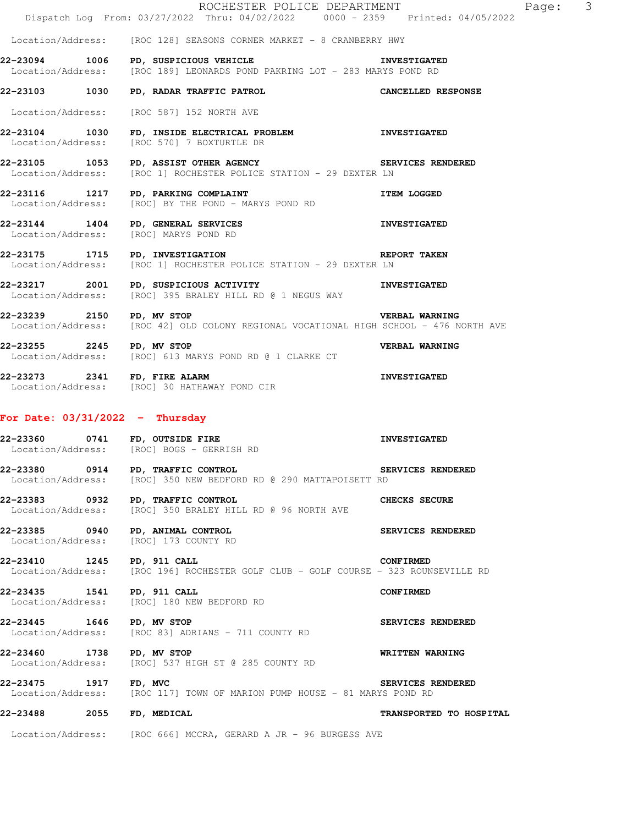|                       | ROCHESTER POLICE DEPARTMENT<br>Dispatch Log From: 03/27/2022 Thru: 04/02/2022 0000 - 2359 Printed: 04/05/2022                     |                          |
|-----------------------|-----------------------------------------------------------------------------------------------------------------------------------|--------------------------|
|                       | Location/Address: [ROC 128] SEASONS CORNER MARKET - 8 CRANBERRY HWY                                                               |                          |
|                       | 22-23094 1006 PD, SUSPICIOUS VEHICLE<br>Location/Address: [ROC 189] LEONARDS POND PAKRING LOT - 283 MARYS POND RD                 | <b>INVESTIGATED</b>      |
|                       | 22-23103 1030 PD, RADAR TRAFFIC PATROL                                                                                            | CANCELLED RESPONSE       |
|                       | Location/Address: [ROC 587] 152 NORTH AVE                                                                                         |                          |
| 22-23104 1030         | FD, INSIDE ELECTRICAL PROBLEM INVESTIGATED<br>Location/Address: [ROC 570] 7 BOXTURTLE DR                                          |                          |
|                       | 22-23105 1053 PD, ASSIST OTHER AGENCY SERVICES RENDERED<br>Location/Address: [ROC 1] ROCHESTER POLICE STATION - 29 DEXTER LN      |                          |
|                       | 22-23116 1217 PD, PARKING COMPLAINT<br>Location/Address: [ROC] BY THE POND - MARYS POND RD                                        | <b>ITEM LOGGED</b>       |
|                       | 22-23144 1404 PD, GENERAL SERVICES<br>Location/Address: [ROC] MARYS POND RD                                                       | <b>INVESTIGATED</b>      |
|                       | <b>EXERCITE TAKEN</b><br>22-23175 1715 PD, INVESTIGATION<br>Location/Address: [ROC 1] ROCHESTER POLICE STATION - 29 DEXTER LN     |                          |
|                       | 22-23217 2001 PD, SUSPICIOUS ACTIVITY<br>Location/Address: [ROC] 395 BRALEY HILL RD @ 1 NEGUS WAY                                 | <b>INVESTIGATED</b>      |
|                       | 22-23239 2150 PD, MV STOP VERBAL WARNING<br>Location/Address: [ROC 42] OLD COLONY REGIONAL VOCATIONAL HIGH SCHOOL - 476 NORTH AVE | <b>VERBAL WARNING</b>    |
|                       | 22-23255 2245 PD, MV STOP<br>Location/Address: [ROC] 613 MARYS POND RD @ 1 CLARKE CT                                              | VERBAL WARNING           |
|                       | 22-23273 2341 FD, FIRE ALARM<br>Location/Address: [ROC] 30 HATHAWAY POND CIR                                                      | <b>INVESTIGATED</b>      |
|                       | For Date: $03/31/2022 - Thursday$                                                                                                 |                          |
|                       | 22-23360 0741 FD, OUTSIDE FIRE<br>Location/Address: [ROC] BOGS - GERRISH RD                                                       | <b>INVESTIGATED</b>      |
|                       | 22-23380 0914 PD, TRAFFIC CONTROL<br>Location/Address: [ROC] 350 NEW BEDFORD RD @ 290 MATTAPOISETT RD                             | <b>SERVICES RENDERED</b> |
|                       | 22-23383 0932 PD, TRAFFIC CONTROL<br>Location/Address: [ROC] 350 BRALEY HILL RD @ 96 NORTH AVE                                    | CHECKS SECURE            |
|                       | 22-23385 0940 PD, ANIMAL CONTROL<br>Location/Address: [ROC] 173 COUNTY RD                                                         | SERVICES RENDERED        |
|                       | 22-23410 1245 PD, 911 CALL<br>Location/Address: [ROC 196] ROCHESTER GOLF CLUB - GOLF COURSE - 323 ROUNSEVILLE RD                  | <b>CONFIRMED</b>         |
|                       | 22-23435 1541 PD, 911 CALL<br>Location/Address: [ROC] 180 NEW BEDFORD RD                                                          | <b>CONFIRMED</b>         |
|                       | 22-23445 1646 PD, MV STOP<br>Location/Address: [ROC 83] ADRIANS - 711 COUNTY RD                                                   | SERVICES RENDERED        |
| 22-23460 1738         | PD, MV STOP<br>Location/Address: [ROC] 537 HIGH ST @ 285 COUNTY RD                                                                | <b>WRITTEN WARNING</b>   |
| 22-23475 1917 FD, MVC | Location/Address: [ROC 117] TOWN OF MARION PUMP HOUSE - 81 MARYS POND RD                                                          | <b>SERVICES RENDERED</b> |
|                       | 22-23488 2055 FD, MEDICAL                                                                                                         | TRANSPORTED TO HOSPITAL  |
|                       | Location/Address: [ROC 666] MCCRA, GERARD A JR - 96 BURGESS AVE                                                                   |                          |

Page: 3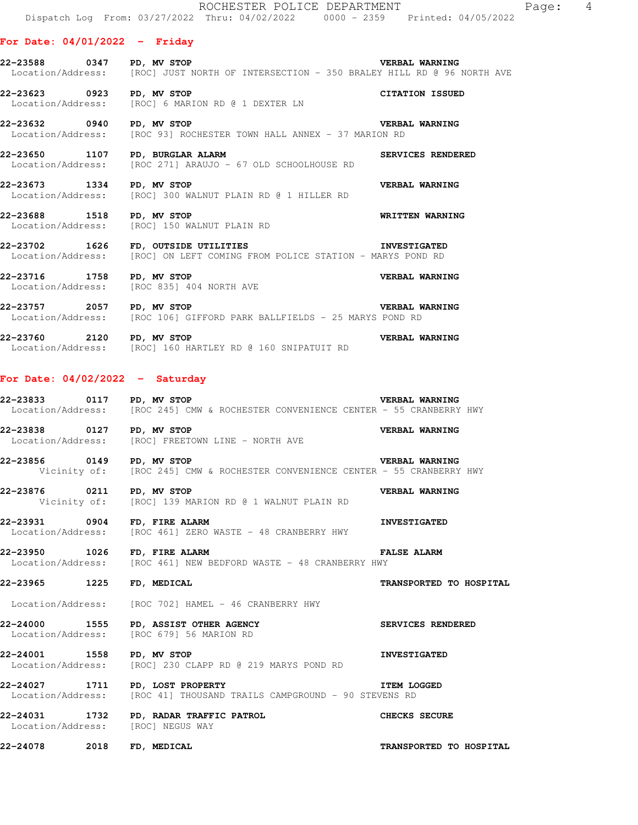## **For Date: 04/01/2022 - Friday**

**22-23588 0347 PD, MV STOP VERBAL WARNING**  Location/Address: [ROC] JUST NORTH OF INTERSECTION - 350 BRALEY HILL RD @ 96 NORTH AVE

**22-23623 0923 PD, MV STOP CITATION ISSUED**  Location/Address: [ROC] 6 MARION RD @ 1 DEXTER LN

**22-23632 0940 PD, MV STOP VERBAL WARNING**  Location/Address: [ROC 93] ROCHESTER TOWN HALL ANNEX - 37 MARION RD

**22-23650 1107 PD, BURGLAR ALARM SERVICES RENDERED**<br>Location/Address: [ROC 271] ARAUJO - 67 OLD SCHOOLHOUSE RD [ROC 271] ARAUJO - 67 OLD SCHOOLHOUSE RD

**22-23673 1334 PD, MV STOP CONTREST PROPER SERVISH ARRING LOCATION/Address:** [ROC] 300 WALNUT PLAIN RD @ 1 HILLER RD [ROC] 300 WALNUT PLAIN RD @ 1 HILLER RD

**22-23688 1518 PD, MV STOP WRITTEN WARNING**  Location/Address: [ROC] 150 WALNUT PLAIN RD

**22-23702 1626 FD, OUTSIDE UTILITIES INVESTIGATED**  Location/Address: [ROC] ON LEFT COMING FROM POLICE STATION - MARYS POND RD

**22-23716 1758 PD, MV STOP VERBAL WARNING**  Location/Address: [ROC 835] 404 NORTH AVE

**22-23757 2057 PD, MV STOP**<br>Location/Address: [ROC 106] GIFFORD PARK BALLFIELDS - 25 MARYS POND RD [ROC 106] GIFFORD PARK BALLFIELDS - 25 MARYS POND RD

**22-23760 2120 PD, MV STOP VERBAL WARNING**  Location/Address: [ROC] 160 HARTLEY RD @ 160 SNIPATUIT RD

#### **For Date: 04/02/2022 - Saturday**

**22-23833 0117 PD, MV STOP VERBAL WARNING**  Location/Address: [ROC 245] CMW & ROCHESTER CONVENIENCE CENTER - 55 CRANBERRY HWY

**22-23838 0127 PD, MV STOP CONCLUTE AND REASAL WARNING LOCATION/Address:** [ROC] FREETOWN LINE - NORTH AVE [ROC] FREETOWN LINE - NORTH AVE

**22-23856 0149 PD, MV STOP BERBAL WARNING**<br>Vicinity of: [ROC 245] CMW & ROCHESTER CONVENIENCE CENTER - 55 CRANBERRY [ROC 245] CMW & ROCHESTER CONVENIENCE CENTER - 55 CRANBERRY HWY

**22-23876 0211 PD, MV STOP VERBAL WARNING**  Vicinity of: [ROC] 139 MARION RD @ 1 WALNUT PLAIN RD

**22-23931 0904 FD, FIRE ALARM INVESTIGATED**  Location/Address: [ROC 461] ZERO WASTE - 48 CRANBERRY HWY

**22-23950 1026 FD, FIRE ALARM FALSE ALARM**  Location/Address: [ROC 461] NEW BEDFORD WASTE - 48 CRANBERRY HWY

**22-23965 1225 FD, MEDICAL TRANSPORTED TO HOSPITAL** 

Location/Address: [ROC 702] HAMEL - 46 CRANBERRY HWY

**22-24000 1555 PD, ASSIST OTHER AGENCY SERVICES RENDERED**  Location/Address: [ROC 679] 56 MARION RD

**22-24001 1558 PD, MV STOP INVESTIGATED**  Location/Address: [ROC] 230 CLAPP RD @ 219 MARYS POND RD

**22-24027 1711 PD, LOST PROPERTY ITEM LOGGED**  Location/Address: [ROC 41] THOUSAND TRAILS CAMPGROUND - 90 STEVENS RD

**22-24031 1732 PD, RADAR TRAFFIC PATROL CHECKS SECURE**  Location/Address: [ROC] NEGUS WAY

**22-24078 2018 FD, MEDICAL TRANSPORTED TO HOSPITAL**